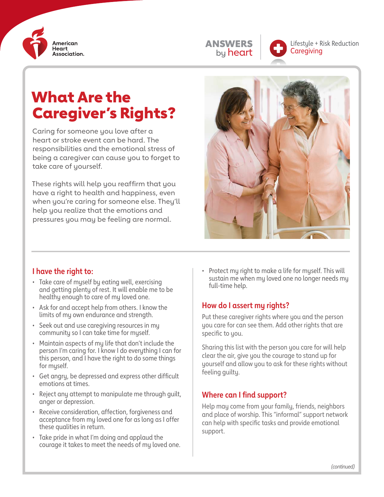

| <b>ANSWERS</b> |
|----------------|
| by heart       |



Lifestyle + Risk Reduction **Caregiving** 

# What Are the Caregiver's Rights?

Caring for someone you love after a heart or stroke event can be hard. The responsibilities and the emotional stress of being a caregiver can cause you to forget to take care of yourself.

These rights will help you reaffirm that you have a right to health and happiness, even when you're caring for someone else. They'll help you realize that the emotions and pressures you may be feeling are normal.



## **I have the right to:**

- Take care of myself by eating well, exercising and getting plenty of rest. It will enable me to be healthy enough to care of my loved one.
- Ask for and accept help from others. I know the limits of my own endurance and strength.
- Seek out and use caregiving resources in my community so I can take time for myself.
- Maintain aspects of my life that don't include the person I'm caring for. I know I do everything I can for this person, and I have the right to do some things for myself.
- Get angry, be depressed and express other difficult emotions at times.
- Reject any attempt to manipulate me through guilt, anger or depression.
- Receive consideration, affection, forgiveness and acceptance from my loved one for as long as I offer these qualities in return.
- Take pride in what I'm doing and applaud the courage it takes to meet the needs of my loved one.

Protect my right to make a life for myself. This will sustain me when my loved one no longer needs my full-time help.

## **How do I assert my rights?**

Put these caregiver rights where you and the person you care for can see them. Add other rights that are specific to you.

Sharing this list with the person you care for will help clear the air, give you the courage to stand up for yourself and allow you to ask for these rights without feeling guilty.

## **Where can I find support?**

Help may come from your family, friends, neighbors and place of worship. This "informal" support network can help with specific tasks and provide emotional support.